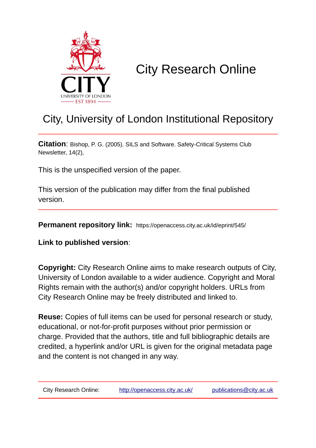

# City Research Online

# City, University of London Institutional Repository

**Citation**: Bishop, P. G. (2005). SILS and Software. Safety-Critical Systems Club Newsletter, 14(2),

This is the unspecified version of the paper.

This version of the publication may differ from the final published version.

**Permanent repository link:** https://openaccess.city.ac.uk/id/eprint/545/

**Link to published version**:

**Copyright:** City Research Online aims to make research outputs of City, University of London available to a wider audience. Copyright and Moral Rights remain with the author(s) and/or copyright holders. URLs from City Research Online may be freely distributed and linked to.

**Reuse:** Copies of full items can be used for personal research or study, educational, or not-for-profit purposes without prior permission or charge. Provided that the authors, title and full bibliographic details are credited, a hyperlink and/or URL is given for the original metadata page and the content is not changed in any way.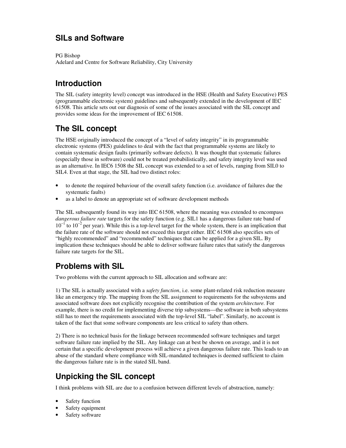# **SILs and Software**

PG Bishop Adelard and Centre for Software Reliability, City University

### **Introduction**

The SIL (safety integrity level) concept was introduced in the HSE (Health and Safety Executive) PES (programmable electronic system) guidelines and subsequently extended in the development of IEC 61508. This article sets out our diagnosis of some of the issues associated with the SIL concept and provides some ideas for the improvement of IEC 61508.

# **The SIL concept**

The HSE originally introduced the concept of a "level of safety integrity" in its programmable electronic systems (PES) guidelines to deal with the fact that programmable systems are likely to contain systematic design faults (primarily software defects). It was thought that systematic failures (especially those in software) could not be treated probabilistically, and safety integrity level was used as an alternative. In IEC6 1508 the SIL concept was extended to a set of levels, ranging from SIL0 to SIL4. Even at that stage, the SIL had two distinct roles:

- to denote the required behaviour of the overall safety function (i.e. avoidance of failures due the systematic faults)
- as a label to denote an appropriate set of software development methods

The SIL subsequently found its way into IEC 61508, where the meaning was extended to encompass *dangerous failure rate* targets for the safety function (e.g. SIL1 has a dangerous failure rate band of 10<sup>-1</sup> to 10<sup>-2</sup> per year). While this is a top-level target for the whole system, there is an implication that the failure rate of the software should not exceed this target either. IEC 61508 also specifies sets of "highly recommended" and "recommended" techniques that can be applied for a given SIL. By implication these techniques should be able to deliver software failure rates that satisfy the dangerous failure rate targets for the SIL.

#### **Problems with SIL**

Two problems with the current approach to SIL allocation and software are:

1) The SIL is actually associated with a *safety function*, i.e. some plant-related risk reduction measure like an emergency trip. The mapping from the SIL assignment to requirements for the subsystems and associated software does not explicitly recognise the contribution of the system *architecture.* For example, there is no credit for implementing diverse trip subsystems—the software in both subsystems still has to meet the requirements associated with the top-level SIL "label". Similarly, no account is taken of the fact that some software components are less critical to safety than others.

2) There is no technical basis for the linkage between recommended software techniques and target software failure rate implied by the SIL. Any linkage can at best be shown on average, and it is not certain that a specific development process will achieve a given dangerous failure rate. This leads to an abuse of the standard where compliance with SIL-mandated techniques is deemed sufficient to claim the dangerous failure rate is in the stated SIL band.

# **Unpicking the SIL concept**

I think problems with SIL are due to a confusion between different levels of abstraction, namely:

- Safety function
- Safety equipment
- Safety software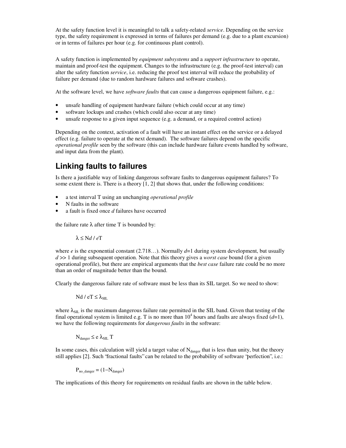At the safety function level it is meaningful to talk a safety-related *service*. Depending on the service type, the safety requirement is expressed in terms of failures per demand (e.g. due to a plant excursion) or in terms of failures per hour (e.g. for continuous plant control).

A safety function is implemented by *equipment subsystems* and a *support infrastructure* to operate, maintain and proof-test the equipment. Changes to the infrastructure (e.g. the proof-test interval) can alter the safety function *service*, i.e. reducing the proof test interval will reduce the probability of failure per demand (due to random hardware failures and software crashes).

At the software level, we have *software faults* that can cause a dangerous equipment failure, e.g.:

- unsafe handling of equipment hardware failure (which could occur at any time)
- software lockups and crashes (which could also occur at any time)
- unsafe response to a given input sequence (e.g. a demand, or a required control action)

Depending on the context, activation of a fault will have an instant effect on the service or a delayed effect (e.g. failure to operate at the next demand). The software failures depend on the specific *operational profile* seen by the software (this can include hardware failure events handled by software, and input data from the plant).

#### **Linking faults to failures**

Is there a justifiable way of linking dangerous software faults to dangerous equipment failures? To some extent there is. There is a theory [1, 2] that shows that, under the following conditions:

- a test interval T using an unchanging *operational profile*
- N faults in the software
- a fault is fixed once *d* failures have occurred

the failure rate  $\lambda$  after time T is bounded by:

 $λ ≤ Nd / eT$ 

where *e* is the exponential constant (2.718...). Normally  $d=1$  during system development, but usually *d* >> 1 during subsequent operation. Note that this theory gives a *worst case* bound (for a given operational profile), but there are empirical arguments that the *best case* failure rate could be no more than an order of magnitude better than the bound.

Clearly the dangerous failure rate of software must be less than its SIL target. So we need to show:

Nd / eT  $\leq \lambda$ <sub>SIL</sub>

where  $\lambda_{\text{SIL}}$  is the maximum dangerous failure rate permitted in the SIL band. Given that testing of the final operational system is limited e.g. T is no more than  $10^4$  hours and faults are always fixed  $(d=1)$ , we have the following requirements for *dangerous faults* in the software:

$$
N_{\text{danger}} \leq e \; \lambda_{\text{SIL}} \; T
$$

In some cases, this calculation will yield a target value of  $N_{\text{danger}}$  that is less than unity, but the theory still applies [2]. Such "fractional faults" can be related to the probability of software "perfection", i.e.:

 $P_{no\text{ danger}} = (1 - N_{\text{danger}})$ 

The implications of this theory for requirements on residual faults are shown in the table below.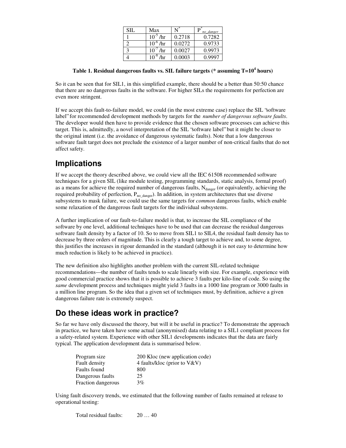| SIL | Max              |        | no danger |
|-----|------------------|--------|-----------|
|     | $10^{-5}$<br>/hr | 0.2718 | 0.7282    |
|     | $10^{-6}$<br>/hr | 0.0272 | 0.9733    |
|     | $10^{-}$<br>/hr  | 0.0027 | 0.9973    |
|     | $10^{-8}$<br>/hr | 0.0003 | 0.9997    |

**Table 1. Residual dangerous faults vs. SIL failure targets (\* assuming T=10<sup>4</sup> hours)**

So it can be seen that for SIL1, in this simplified example, there should be a better than 50:50 chance that there are no dangerous faults in the software. For higher SILs the requirements for perfection are even more stringent.

If we accept this fault-to-failure model, we could (in the most extreme case) replace the SIL "software label" for recommended development methods by targets for the *number of dangerous software faults*. The developer would then have to provide evidence that the chosen software processes can achieve this target. This is, admittedly, a novel interpretation of the SIL "software label" but it might be closer to the original intent (i.e. the avoidance of dangerous systematic faults). Note that a low dangerous software fault target does not preclude the existence of a larger number of non-critical faults that do not affect safety.

#### **Implications**

If we accept the theory described above, we could view all the IEC 61508 recommended software techniques for a given SIL (like module testing, programming standards, static analysis, formal proof) as a means for achieve the required number of dangerous faults,  $N_{\text{danger}}$  (or equivalently, achieving the required probability of perfection,  $P_{no\_danger}$ ). In addition, in system architectures that use diverse subsystems to mask failure, we could use the same targets for *common* dangerous faults, which enable some relaxation of the dangerous fault targets for the individual subsystems.

A further implication of our fault-to-failure model is that, to increase the SIL compliance of the software by one level, additional techniques have to be used that can decrease the residual dangerous software fault density by a factor of 10. So to move from SIL1 to SIL4, the residual fault density has to decrease by three orders of magnitude. This is clearly a tough target to achieve and, to some degree, this justifies the increases in rigour demanded in the standard (although it is not easy to determine how much reduction is likely to be achieved in practice).

The new definition also highlights another problem with the current SIL-related technique recommendations—the number of faults tends to scale linearly with size. For example, experience with good commercial practice shows that it is possible to achieve 3 faults per kilo-line of code. So using the *same* development process and techniques might yield 3 faults in a 1000 line program or 3000 faults in a million line program. So the idea that a given set of techniques must, by definition, achieve a given dangerous failure rate is extremely suspect.

# **Do these ideas work in practice?**

So far we have only discussed the theory, but will it be useful in practice? To demonstrate the approach in practice, we have taken have some actual (anonymised) data relating to a SIL1 compliant process for a safety-related system. Experience with other SIL1 developments indicates that the data are fairly typical. The application development data is summarised below.

| Program size       | 200 Kloc (new application code) |
|--------------------|---------------------------------|
| Fault density      | 4 faults/kloc (prior to $V&V$ ) |
| Faults found       | 800                             |
| Dangerous faults   | 25                              |
| Fraction dangerous | 3%                              |

Using fault discovery trends, we estimated that the following number of faults remained at release to operational testing:

Total residual faults: 20 … 40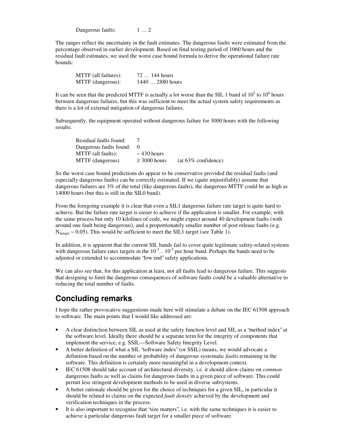Dangerous faults: 1 ... 2

The ranges reflect the uncertainty in the fault estimates. The dangerous faults were estimated from the percentage observed in earlier development. Based on final testing period of 1060 hours and the residual fault estimates, we used the worst case bound formula to derive the operational failure rate bounds:

| MTTF (all failures): | $72144$ hours    |
|----------------------|------------------|
| MTTF (dangerous):    | $14402880$ hours |

It can be seen that the predicted MTTF is actually a lot worse than the SIL 1 band of  $10^5$  to  $10^6$  hours between dangerous failures, but this was sufficient to meet the actual system safety requirements as there is a lot of external mitigation of dangerous failures.

Subsequently, the equipment operated without dangerous failure for 3000 hours with the following results:

| Residual faults found:  |                   |                        |
|-------------------------|-------------------|------------------------|
| Dangerous faults found: |                   |                        |
| MTTF (all faults):      | $\sim$ 430 hours  |                        |
| MTTF (dangerous)        | $\geq 3000$ hours | $(at 63\% confidence)$ |

So the worst case bound predictions do appear to be conservative provided the residual faults (and especially dangerous faults) can be correctly estimated. If we (quite unjustifiably) assume that dangerous failures are 3% of the total (like dangerous faults), the dangerous MTTF could be as high as 14000 hours (but this is still in the SIL0 band).

From the foregoing example it is clear that even a SIL1 dangerous failure rate target is quite hard to achieve. But the failure rate target is easier to achieve if the application is smaller. For example, with the same process but only 10 kilolines of code, we might expect around 40 development faults (with around one fault being dangerous), and a proportionately smaller number of post release faults (e.g.  $N_{\text{danger}} \sim 0.05$ ). This would be sufficient to meet the SIL1 target (see Table 1).

In addition, it is apparent that the current SIL bands fail to cover quite legitimate safety-related systems with dangerous failure rates targets in the  $10^{-3}$ ...10<sup>-5</sup> per hour band. Perhaps the bands need to be adjusted or extended to accommodate "low end" safety applications.

We can also see that, for this application at least, not all faults lead to dangerous failure. This suggests that designing to limit the dangerous consequences of software faults could be a valuable alternative to reducing the total number of faults.

#### **Concluding remarks**

I hope the rather provocative suggestions made here will stimulate a debate on the IEC 61508 approach to software. The main points that I would like addressed are:

- A clear distinction between SIL as used at the safety function level and SIL as a "method index" at the software level. Ideally there should be a separate term for the integrity of components that implement the service, e.g. SSIL—Software Safety Integrity Level.
- A better definition of what a SIL "software index" (or SSIL) means, we would advocate a definition based on the number or probability of dangerous systematic *faults* remaining in the software. This definition is certainly more meaningful in a development context.
- IEC 61508 should take account of architectural diversity, i.e. it should allow claims on *common* dangerous faults as well as claims for dangerous faults in a given piece of software. This could permit less stringent development methods to be used in diverse subsystems.
- A better rationale should be given for the choice of techniques for a given SIL, in particular it should be related to claims on the expected *fault density* achieved by the development and verification techniques in the process.
- It is also important to recognise that "size matters", i.e. with the same techniques it is easier to achieve a particular dangerous fault target for a smaller piece of software.